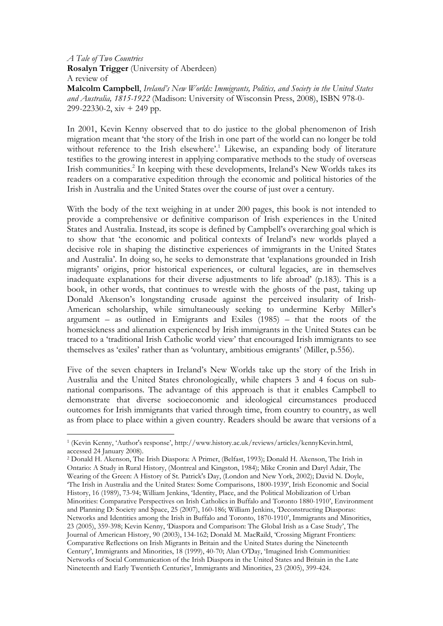A Tale of Two Countries Rosalyn Trigger (University of Aberdeen) A review of Malcolm Campbell, Ireland's New Worlds: Immigrants, Politics, and Society in the United States and Australia, 1815-1922 (Madison: University of Wisconsin Press, 2008), ISBN 978-0- 299-22330-2, xiv + 249 pp.

In 2001, Kevin Kenny observed that to do justice to the global phenomenon of Irish migration meant that 'the story of the Irish in one part of the world can no longer be told without reference to the Irish elsewhere'.<sup>1</sup> Likewise, an expanding body of literature testifies to the growing interest in applying comparative methods to the study of overseas Irish communities.<sup>2</sup> In keeping with these developments, Ireland's New Worlds takes its readers on a comparative expedition through the economic and political histories of the Irish in Australia and the United States over the course of just over a century.

With the body of the text weighing in at under 200 pages, this book is not intended to provide a comprehensive or definitive comparison of Irish experiences in the United States and Australia. Instead, its scope is defined by Campbell's overarching goal which is to show that 'the economic and political contexts of Ireland's new worlds played a decisive role in shaping the distinctive experiences of immigrants in the United States and Australia'. In doing so, he seeks to demonstrate that 'explanations grounded in Irish migrants' origins, prior historical experiences, or cultural legacies, are in themselves inadequate explanations for their diverse adjustments to life abroad' (p.183). This is a book, in other words, that continues to wrestle with the ghosts of the past, taking up Donald Akenson's longstanding crusade against the perceived insularity of Irish-American scholarship, while simultaneously seeking to undermine Kerby Miller's argument – as outlined in Emigrants and Exiles  $(1985)$  – that the roots of the homesickness and alienation experienced by Irish immigrants in the United States can be traced to a 'traditional Irish Catholic world view' that encouraged Irish immigrants to see themselves as 'exiles' rather than as 'voluntary, ambitious emigrants' (Miller, p.556).

Five of the seven chapters in Ireland's New Worlds take up the story of the Irish in Australia and the United States chronologically, while chapters 3 and 4 focus on subnational comparisons. The advantage of this approach is that it enables Campbell to demonstrate that diverse socioeconomic and ideological circumstances produced outcomes for Irish immigrants that varied through time, from country to country, as well as from place to place within a given country. Readers should be aware that versions of a

 $\overline{a}$ 

<sup>1</sup> (Kevin Kenny, 'Author's response', http://www.history.ac.uk/reviews/articles/kennyKevin.html, accessed 24 January 2008).

<sup>2</sup> Donald H. Akenson, The Irish Diaspora: A Primer, (Belfast, 1993); Donald H. Akenson, The Irish in Ontario: A Study in Rural History, (Montreal and Kingston, 1984); Mike Cronin and Daryl Adair, The Wearing of the Green: A History of St. Patrick's Day, (London and New York, 2002); David N. Doyle, 'The Irish in Australia and the United States: Some Comparisons, 1800-1939', Irish Economic and Social History, 16 (1989), 73-94; William Jenkins, 'Identity, Place, and the Political Mobilization of Urban Minorities: Comparative Perspectives on Irish Catholics in Buffalo and Toronto 1880-1910', Environment and Planning D: Society and Space, 25 (2007), 160-186; William Jenkins, 'Deconstructing Diasporas: Networks and Identities among the Irish in Buffalo and Toronto, 1870-1910', Immigrants and Minorities, 23 (2005), 359-398; Kevin Kenny, 'Diaspora and Comparison: The Global Irish as a Case Study', The Journal of American History, 90 (2003), 134-162; Donald M. MacRaild, 'Crossing Migrant Frontiers: Comparative Reflections on Irish Migrants in Britain and the United States during the Nineteenth Century', Immigrants and Minorities, 18 (1999), 40-70; Alan O'Day, 'Imagined Irish Communities: Networks of Social Communication of the Irish Diaspora in the United States and Britain in the Late Nineteenth and Early Twentieth Centuries', Immigrants and Minorities, 23 (2005), 399-424.